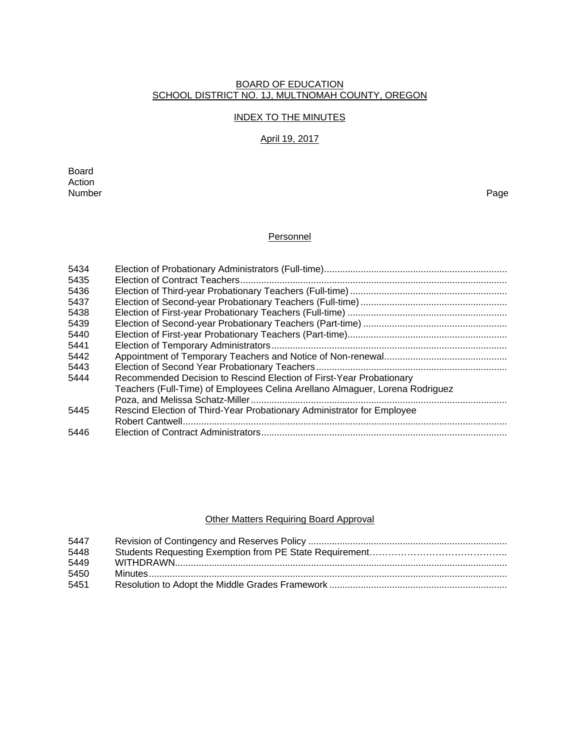#### BOARD OF EDUCATION SCHOOL DISTRICT NO. 1J, MULTNOMAH COUNTY, OREGON

## INDEX TO THE MINUTES

# April 19, 2017

Board Action<br>Number Number Page

# **Personnel**

| 5434 |                                                                              |
|------|------------------------------------------------------------------------------|
| 5435 |                                                                              |
| 5436 |                                                                              |
| 5437 |                                                                              |
| 5438 |                                                                              |
| 5439 |                                                                              |
| 5440 |                                                                              |
| 5441 |                                                                              |
| 5442 |                                                                              |
| 5443 |                                                                              |
| 5444 | Recommended Decision to Rescind Election of First-Year Probationary          |
|      | Teachers (Full-Time) of Employees Celina Arellano Almaguer, Lorena Rodriguez |
|      |                                                                              |
| 5445 | Rescind Election of Third-Year Probationary Administrator for Employee       |
|      |                                                                              |
| 5446 |                                                                              |

# Other Matters Requiring Board Approval

| 5447 |  |
|------|--|
| 5448 |  |
| 5449 |  |
| 5450 |  |
| 5451 |  |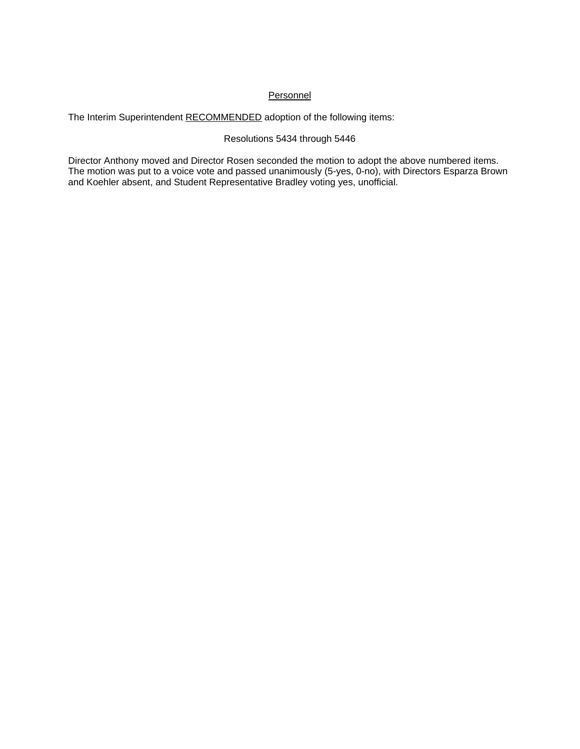## **Personnel**

The Interim Superintendent RECOMMENDED adoption of the following items:

## Resolutions 5434 through 5446

Director Anthony moved and Director Rosen seconded the motion to adopt the above numbered items. The motion was put to a voice vote and passed unanimously (5-yes, 0-no), with Directors Esparza Brown and Koehler absent, and Student Representative Bradley voting yes, unofficial.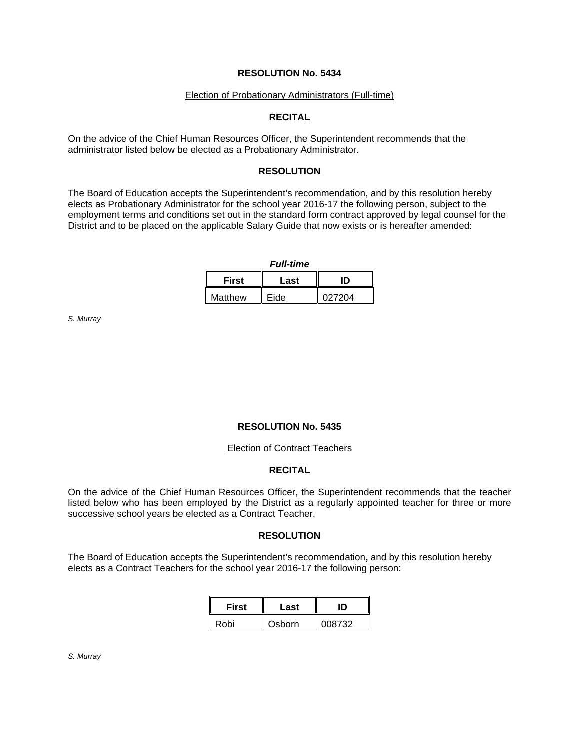#### Election of Probationary Administrators (Full-time)

## **RECITAL**

On the advice of the Chief Human Resources Officer, the Superintendent recommends that the administrator listed below be elected as a Probationary Administrator.

### **RESOLUTION**

The Board of Education accepts the Superintendent's recommendation, and by this resolution hereby elects as Probationary Administrator for the school year 2016-17 the following person, subject to the employment terms and conditions set out in the standard form contract approved by legal counsel for the District and to be placed on the applicable Salary Guide that now exists or is hereafter amended:

*Full-time*

| First   | Last |        |  |
|---------|------|--------|--|
| Matthew | Fide | 027204 |  |

*S. Murray* 

## **RESOLUTION No. 5435**

#### Election of Contract Teachers

## **RECITAL**

On the advice of the Chief Human Resources Officer, the Superintendent recommends that the teacher listed below who has been employed by the District as a regularly appointed teacher for three or more successive school years be elected as a Contract Teacher.

### **RESOLUTION**

The Board of Education accepts the Superintendent's recommendation**,** and by this resolution hereby elects as a Contract Teachers for the school year 2016-17 the following person:

| <b>First</b> | Last   | חו     |
|--------------|--------|--------|
| Robi         | Osborn | 008732 |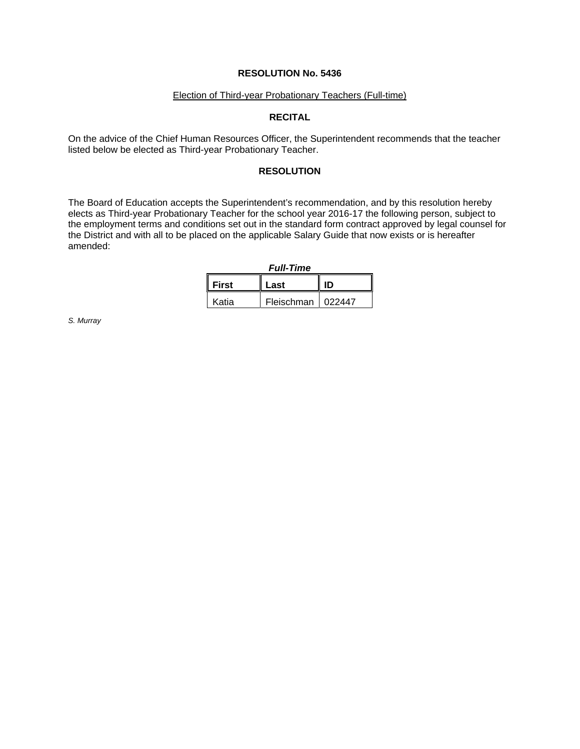### Election of Third-year Probationary Teachers (Full-time)

## **RECITAL**

On the advice of the Chief Human Resources Officer, the Superintendent recommends that the teacher listed below be elected as Third-year Probationary Teacher.

### **RESOLUTION**

The Board of Education accepts the Superintendent's recommendation, and by this resolution hereby elects as Third-year Probationary Teacher for the school year 2016-17 the following person, subject to the employment terms and conditions set out in the standard form contract approved by legal counsel for the District and with all to be placed on the applicable Salary Guide that now exists or is hereafter amended:

| <b>Full-Time</b>     |                     |    |  |
|----------------------|---------------------|----|--|
| <b>First</b><br>Last |                     | ID |  |
| Katia                | Fleischman   022447 |    |  |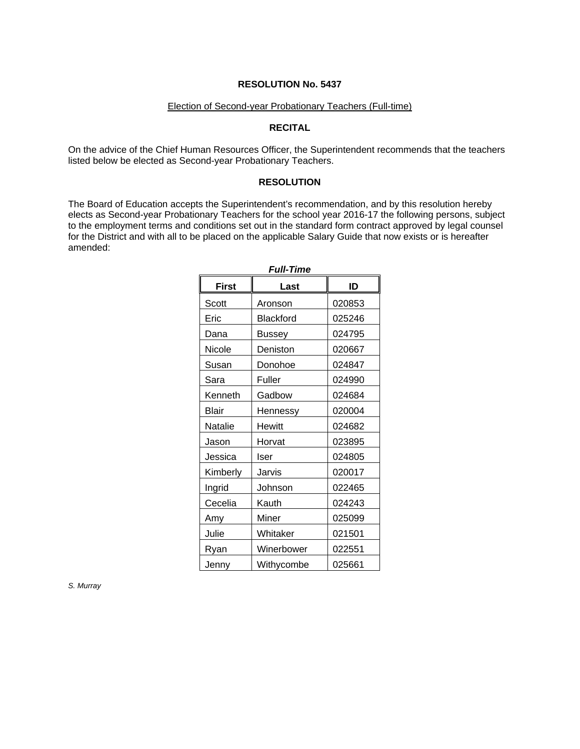### Election of Second-year Probationary Teachers (Full-time)

## **RECITAL**

On the advice of the Chief Human Resources Officer, the Superintendent recommends that the teachers listed below be elected as Second-year Probationary Teachers.

### **RESOLUTION**

The Board of Education accepts the Superintendent's recommendation, and by this resolution hereby elects as Second-year Probationary Teachers for the school year 2016-17 the following persons, subject to the employment terms and conditions set out in the standard form contract approved by legal counsel for the District and with all to be placed on the applicable Salary Guide that now exists or is hereafter amended:

| <b>First</b> | Last          | ID     |  |
|--------------|---------------|--------|--|
| Scott        | Aronson       | 020853 |  |
| Eric         | Blackford     | 025246 |  |
| Dana         | Bussey        | 024795 |  |
| Nicole       | Deniston      | 020667 |  |
| Susan        | Donohoe       | 024847 |  |
| Sara         | Fuller        | 024990 |  |
| Kenneth      | Gadbow        | 024684 |  |
| <b>Blair</b> | Hennessy      | 020004 |  |
| Natalie      | <b>Hewitt</b> | 024682 |  |
| Jason        | Horvat        | 023895 |  |
| Jessica      | lser          | 024805 |  |
| Kimberly     | Jarvis        | 020017 |  |
| Ingrid       | Johnson       | 022465 |  |
| Cecelia      | Kauth         | 024243 |  |
| Amy          | Miner         | 025099 |  |
| Julie        | Whitaker      | 021501 |  |
| Ryan         | Winerbower    | 022551 |  |
| Jenny        | Withycombe    | 025661 |  |

*Full-Time*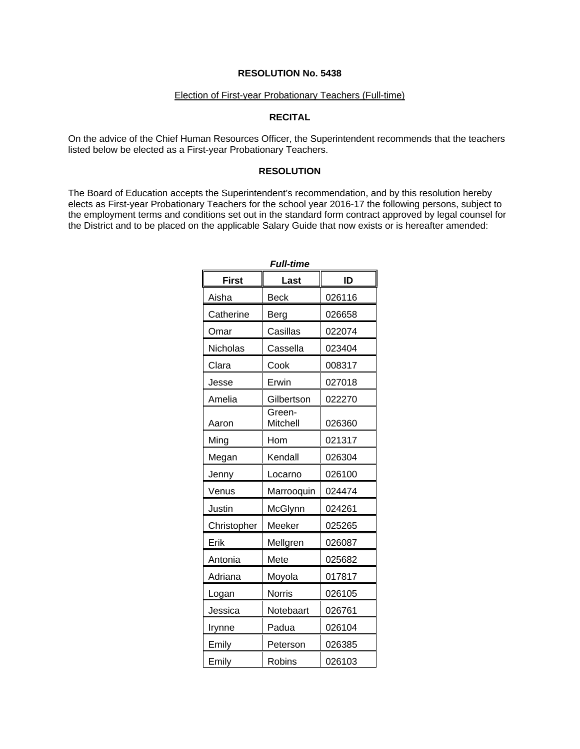### Election of First-year Probationary Teachers (Full-time)

# **RECITAL**

On the advice of the Chief Human Resources Officer, the Superintendent recommends that the teachers listed below be elected as a First-year Probationary Teachers.

### **RESOLUTION**

The Board of Education accepts the Superintendent's recommendation, and by this resolution hereby elects as First-year Probationary Teachers for the school year 2016-17 the following persons, subject to the employment terms and conditions set out in the standard form contract approved by legal counsel for the District and to be placed on the applicable Salary Guide that now exists or is hereafter amended:

| <b>Full-time</b> |                    |        |  |  |
|------------------|--------------------|--------|--|--|
| <b>First</b>     | Last               | ID     |  |  |
| Aisha            | <b>Beck</b>        | 026116 |  |  |
| Catherine        | Berg               | 026658 |  |  |
| Omar             | Casillas           | 022074 |  |  |
| Nicholas         | Cassella           | 023404 |  |  |
| Clara            | Cook               | 008317 |  |  |
| Jesse            | Erwin              | 027018 |  |  |
| Amelia           | Gilbertson         | 022270 |  |  |
| Aaron            | Green-<br>Mitchell | 026360 |  |  |
| Ming             | Hom                | 021317 |  |  |
| Megan            | Kendall            | 026304 |  |  |
| Jenny            | Locarno            | 026100 |  |  |
| Venus            | Marrooquin         | 024474 |  |  |
| Justin           | McGlynn            | 024261 |  |  |
| Christopher      | Meeker             | 025265 |  |  |
| Erik             | Mellgren           | 026087 |  |  |
| Antonia          | Mete               | 025682 |  |  |
| Adriana          | Moyola             | 017817 |  |  |
| Logan            | <b>Norris</b>      | 026105 |  |  |
| Jessica          | Notebaart          | 026761 |  |  |
| Irynne           | Padua              | 026104 |  |  |
| Emily            | Peterson           | 026385 |  |  |
| Emily            | Robins             | 026103 |  |  |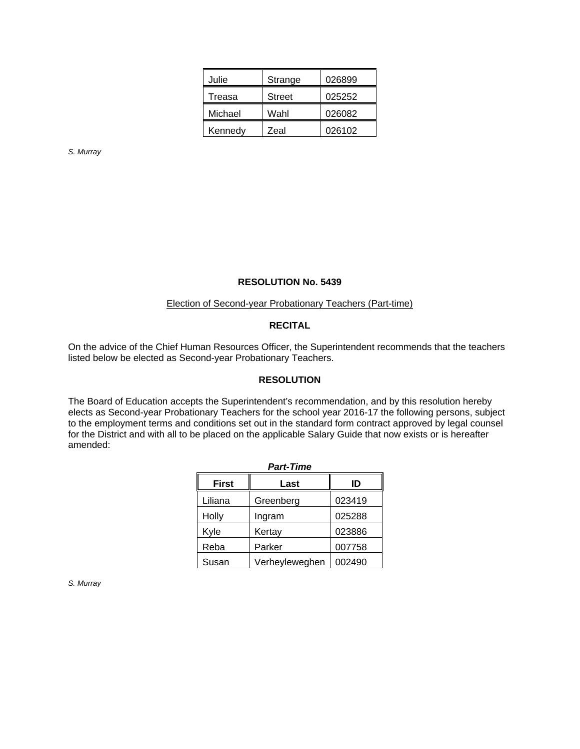| Julie   | Strange       | 026899 |
|---------|---------------|--------|
| Treasa  | <b>Street</b> | 025252 |
| Michael | Wahl          | 026082 |
| Kennedy | Zeal          | 026102 |

*S. Murray* 

#### **RESOLUTION No. 5439**

### Election of Second-year Probationary Teachers (Part-time)

## **RECITAL**

On the advice of the Chief Human Resources Officer, the Superintendent recommends that the teachers listed below be elected as Second-year Probationary Teachers.

## **RESOLUTION**

The Board of Education accepts the Superintendent's recommendation, and by this resolution hereby elects as Second-year Probationary Teachers for the school year 2016-17 the following persons, subject to the employment terms and conditions set out in the standard form contract approved by legal counsel for the District and with all to be placed on the applicable Salary Guide that now exists or is hereafter amended:

| <b>Part-Time</b>           |                |        |  |  |
|----------------------------|----------------|--------|--|--|
| <b>First</b><br>ID<br>Last |                |        |  |  |
| Liliana                    | Greenberg      | 023419 |  |  |
| Holly                      | Ingram         | 025288 |  |  |
| Kyle                       | Kertay         | 023886 |  |  |
| Reba                       | Parker         | 007758 |  |  |
| Susan                      | Verheyleweghen | 002490 |  |  |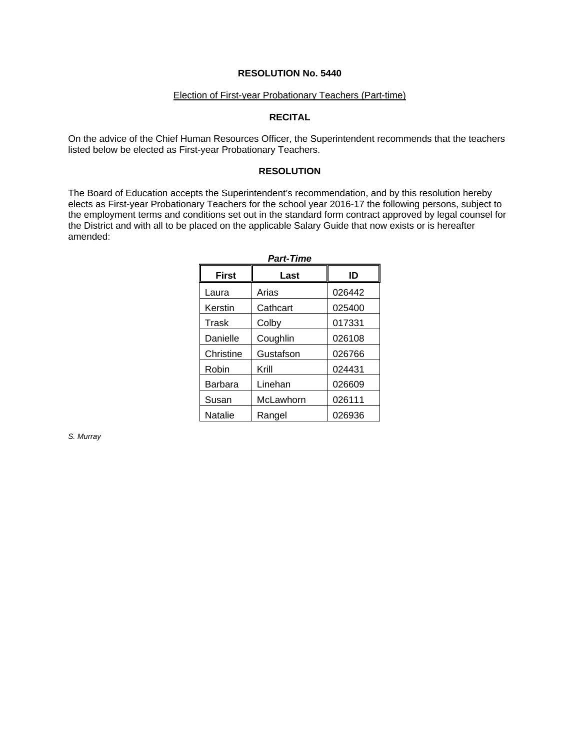### Election of First-year Probationary Teachers (Part-time)

## **RECITAL**

On the advice of the Chief Human Resources Officer, the Superintendent recommends that the teachers listed below be elected as First-year Probationary Teachers.

### **RESOLUTION**

The Board of Education accepts the Superintendent's recommendation, and by this resolution hereby elects as First-year Probationary Teachers for the school year 2016-17 the following persons, subject to the employment terms and conditions set out in the standard form contract approved by legal counsel for the District and with all to be placed on the applicable Salary Guide that now exists or is hereafter amended:

| <b>Part-Time</b> |           |        |  |  |
|------------------|-----------|--------|--|--|
| <b>First</b>     | Last      | ID     |  |  |
| Laura            | Arias     | 026442 |  |  |
| Kerstin          | Cathcart  | 025400 |  |  |
| Trask            | Colby     | 017331 |  |  |
| Danielle         | Coughlin  | 026108 |  |  |
| Christine        | Gustafson | 026766 |  |  |
| Robin            | Krill     | 024431 |  |  |
| Barbara          | Linehan   | 026609 |  |  |
| Susan            | McLawhorn | 026111 |  |  |
| Natalie          | Rangel    | 026936 |  |  |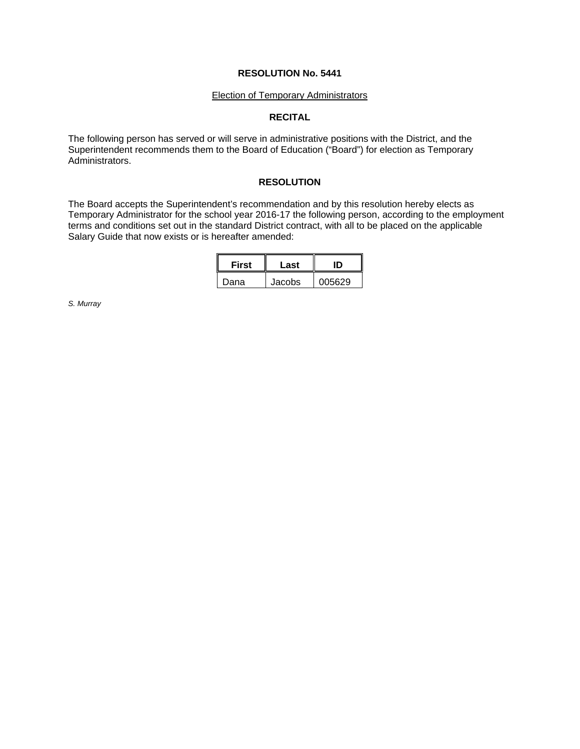#### **Election of Temporary Administrators**

## **RECITAL**

The following person has served or will serve in administrative positions with the District, and the Superintendent recommends them to the Board of Education ("Board") for election as Temporary Administrators.

## **RESOLUTION**

The Board accepts the Superintendent's recommendation and by this resolution hereby elects as Temporary Administrator for the school year 2016-17 the following person, according to the employment terms and conditions set out in the standard District contract, with all to be placed on the applicable Salary Guide that now exists or is hereafter amended:

| <b>First</b> | Last   |        |  |
|--------------|--------|--------|--|
| Dana         | Jacobs | 005629 |  |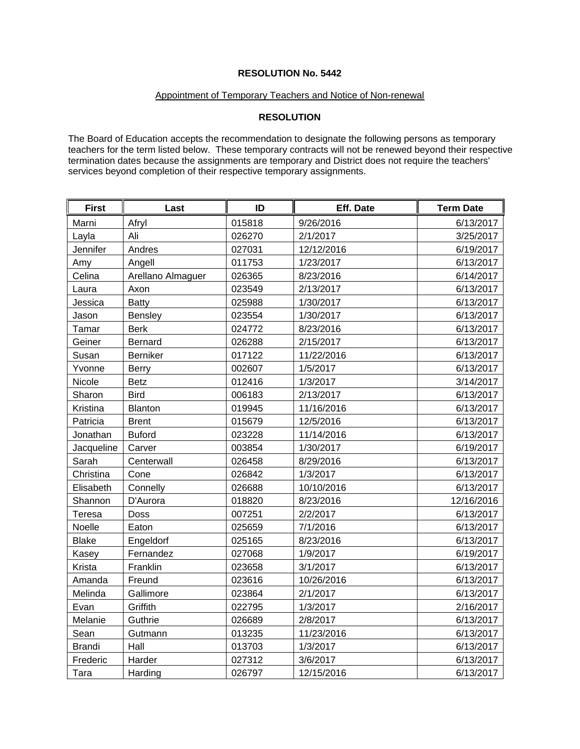### Appointment of Temporary Teachers and Notice of Non-renewal

# **RESOLUTION**

The Board of Education accepts the recommendation to designate the following persons as temporary teachers for the term listed below. These temporary contracts will not be renewed beyond their respective termination dates because the assignments are temporary and District does not require the teachers' services beyond completion of their respective temporary assignments.

| <b>First</b>  | Last              | ID     | Eff. Date  | <b>Term Date</b> |
|---------------|-------------------|--------|------------|------------------|
| Marni         | Afryl             | 015818 | 9/26/2016  | 6/13/2017        |
| Layla         | Ali               | 026270 | 2/1/2017   | 3/25/2017        |
| Jennifer      | Andres            | 027031 | 12/12/2016 | 6/19/2017        |
| Amy           | Angell            | 011753 | 1/23/2017  | 6/13/2017        |
| Celina        | Arellano Almaguer | 026365 | 8/23/2016  | 6/14/2017        |
| Laura         | Axon              | 023549 | 2/13/2017  | 6/13/2017        |
| Jessica       | <b>Batty</b>      | 025988 | 1/30/2017  | 6/13/2017        |
| Jason         | Bensley           | 023554 | 1/30/2017  | 6/13/2017        |
| Tamar         | <b>Berk</b>       | 024772 | 8/23/2016  | 6/13/2017        |
| Geiner        | Bernard           | 026288 | 2/15/2017  | 6/13/2017        |
| Susan         | Berniker          | 017122 | 11/22/2016 | 6/13/2017        |
| Yvonne        | <b>Berry</b>      | 002607 | 1/5/2017   | 6/13/2017        |
| Nicole        | <b>Betz</b>       | 012416 | 1/3/2017   | 3/14/2017        |
| Sharon        | <b>Bird</b>       | 006183 | 2/13/2017  | 6/13/2017        |
| Kristina      | <b>Blanton</b>    | 019945 | 11/16/2016 | 6/13/2017        |
| Patricia      | <b>Brent</b>      | 015679 | 12/5/2016  | 6/13/2017        |
| Jonathan      | <b>Buford</b>     | 023228 | 11/14/2016 | 6/13/2017        |
| Jacqueline    | Carver            | 003854 | 1/30/2017  | 6/19/2017        |
| Sarah         | Centerwall        | 026458 | 8/29/2016  | 6/13/2017        |
| Christina     | Cone              | 026842 | 1/3/2017   | 6/13/2017        |
| Elisabeth     | Connelly          | 026688 | 10/10/2016 | 6/13/2017        |
| Shannon       | D'Aurora          | 018820 | 8/23/2016  | 12/16/2016       |
| Teresa        | Doss              | 007251 | 2/2/2017   | 6/13/2017        |
| Noelle        | Eaton             | 025659 | 7/1/2016   | 6/13/2017        |
| <b>Blake</b>  | Engeldorf         | 025165 | 8/23/2016  | 6/13/2017        |
| Kasey         | Fernandez         | 027068 | 1/9/2017   | 6/19/2017        |
| Krista        | Franklin          | 023658 | 3/1/2017   | 6/13/2017        |
| Amanda        | Freund            | 023616 | 10/26/2016 | 6/13/2017        |
| Melinda       | Gallimore         | 023864 | 2/1/2017   | 6/13/2017        |
| Evan          | Griffith          | 022795 | 1/3/2017   | 2/16/2017        |
| Melanie       | Guthrie           | 026689 | 2/8/2017   | 6/13/2017        |
| Sean          | Gutmann           | 013235 | 11/23/2016 | 6/13/2017        |
| <b>Brandi</b> | Hall              | 013703 | 1/3/2017   | 6/13/2017        |
| Frederic      | Harder            | 027312 | 3/6/2017   | 6/13/2017        |
| Tara          | Harding           | 026797 | 12/15/2016 | 6/13/2017        |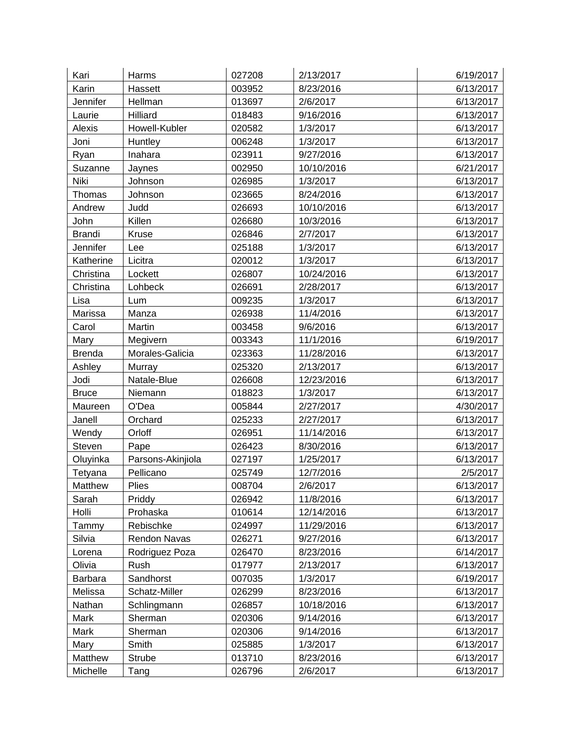| Kari           | Harms             | 027208 | 2/13/2017  | 6/19/2017 |
|----------------|-------------------|--------|------------|-----------|
| Karin          | Hassett           | 003952 | 8/23/2016  | 6/13/2017 |
| Jennifer       | Hellman           | 013697 | 2/6/2017   | 6/13/2017 |
| Laurie         | Hilliard          | 018483 | 9/16/2016  | 6/13/2017 |
| Alexis         | Howell-Kubler     | 020582 | 1/3/2017   | 6/13/2017 |
| Joni           | Huntley           | 006248 | 1/3/2017   | 6/13/2017 |
| Ryan           | Inahara           | 023911 | 9/27/2016  | 6/13/2017 |
| Suzanne        | Jaynes            | 002950 | 10/10/2016 | 6/21/2017 |
| Niki           | Johnson           | 026985 | 1/3/2017   | 6/13/2017 |
| Thomas         | Johnson           | 023665 | 8/24/2016  | 6/13/2017 |
| Andrew         | Judd              | 026693 | 10/10/2016 | 6/13/2017 |
| John           | Killen            | 026680 | 10/3/2016  | 6/13/2017 |
| <b>Brandi</b>  | Kruse             | 026846 | 2/7/2017   | 6/13/2017 |
| Jennifer       | Lee               | 025188 | 1/3/2017   | 6/13/2017 |
| Katherine      | Licitra           | 020012 | 1/3/2017   | 6/13/2017 |
| Christina      | Lockett           | 026807 | 10/24/2016 | 6/13/2017 |
| Christina      | Lohbeck           | 026691 | 2/28/2017  | 6/13/2017 |
| Lisa           | Lum               | 009235 | 1/3/2017   | 6/13/2017 |
| Marissa        | Manza             | 026938 | 11/4/2016  | 6/13/2017 |
| Carol          | Martin            | 003458 | 9/6/2016   | 6/13/2017 |
| Mary           | Megivern          | 003343 | 11/1/2016  | 6/19/2017 |
| <b>Brenda</b>  | Morales-Galicia   | 023363 | 11/28/2016 | 6/13/2017 |
| Ashley         | Murray            | 025320 | 2/13/2017  | 6/13/2017 |
| Jodi           | Natale-Blue       | 026608 | 12/23/2016 | 6/13/2017 |
| <b>Bruce</b>   | Niemann           | 018823 | 1/3/2017   | 6/13/2017 |
| Maureen        | O'Dea             | 005844 | 2/27/2017  | 4/30/2017 |
| Janell         | Orchard           | 025233 | 2/27/2017  | 6/13/2017 |
| Wendy          | Orloff            | 026951 | 11/14/2016 | 6/13/2017 |
| Steven         | Pape              | 026423 | 8/30/2016  | 6/13/2017 |
| Oluyinka       | Parsons-Akinjiola | 027197 | 1/25/2017  | 6/13/2017 |
| Tetyana        | Pellicano         | 025749 | 12/7/2016  | 2/5/2017  |
| Matthew        | Plies             | 008704 | 2/6/2017   | 6/13/2017 |
| Sarah          | Priddy            | 026942 | 11/8/2016  | 6/13/2017 |
| Holli          | Prohaska          | 010614 | 12/14/2016 | 6/13/2017 |
| Tammy          | Rebischke         | 024997 | 11/29/2016 | 6/13/2017 |
| Silvia         | Rendon Navas      | 026271 | 9/27/2016  | 6/13/2017 |
| Lorena         | Rodriguez Poza    | 026470 | 8/23/2016  | 6/14/2017 |
| Olivia         | Rush              | 017977 | 2/13/2017  | 6/13/2017 |
| <b>Barbara</b> | Sandhorst         | 007035 | 1/3/2017   | 6/19/2017 |
| Melissa        | Schatz-Miller     | 026299 | 8/23/2016  | 6/13/2017 |
| Nathan         | Schlingmann       | 026857 | 10/18/2016 | 6/13/2017 |
| Mark           | Sherman           | 020306 | 9/14/2016  | 6/13/2017 |
| Mark           | Sherman           | 020306 | 9/14/2016  | 6/13/2017 |
| Mary           | Smith             | 025885 | 1/3/2017   | 6/13/2017 |
| Matthew        | Strube            | 013710 | 8/23/2016  | 6/13/2017 |
| Michelle       | Tang              | 026796 | 2/6/2017   | 6/13/2017 |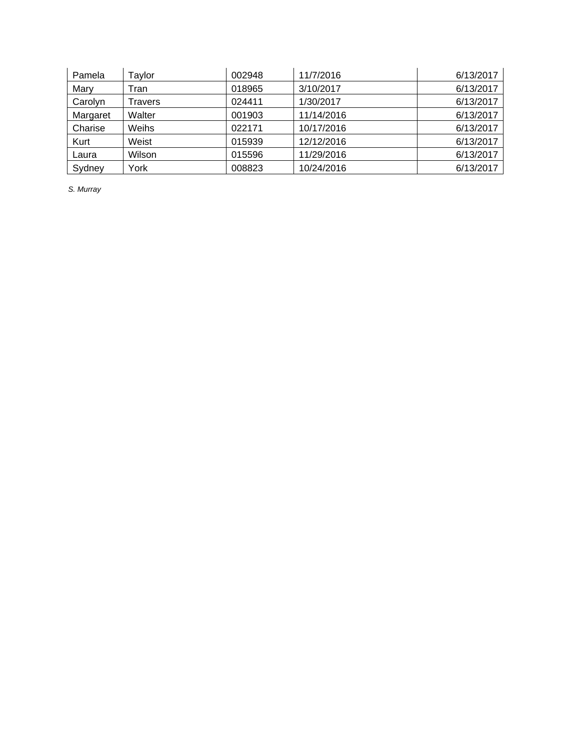| Pamela   | Taylor  | 002948 | 11/7/2016  | 6/13/2017 |
|----------|---------|--------|------------|-----------|
| Mary     | Tran    | 018965 | 3/10/2017  | 6/13/2017 |
| Carolyn  | Travers | 024411 | 1/30/2017  | 6/13/2017 |
| Margaret | Walter  | 001903 | 11/14/2016 | 6/13/2017 |
| Charise  | Weihs   | 022171 | 10/17/2016 | 6/13/2017 |
| Kurt     | Weist   | 015939 | 12/12/2016 | 6/13/2017 |
| Laura    | Wilson  | 015596 | 11/29/2016 | 6/13/2017 |
| Sydney   | York    | 008823 | 10/24/2016 | 6/13/2017 |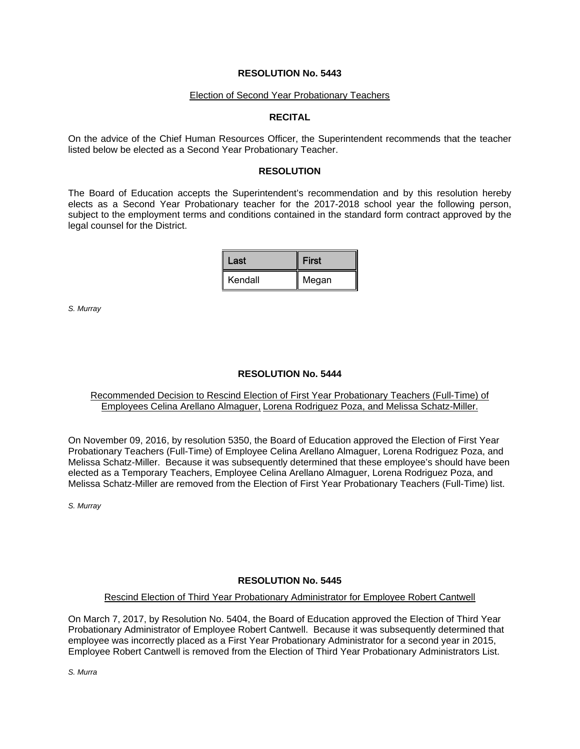#### Election of Second Year Probationary Teachers

### **RECITAL**

On the advice of the Chief Human Resources Officer, the Superintendent recommends that the teacher listed below be elected as a Second Year Probationary Teacher.

### **RESOLUTION**

The Board of Education accepts the Superintendent's recommendation and by this resolution hereby elects as a Second Year Probationary teacher for the 2017-2018 school year the following person, subject to the employment terms and conditions contained in the standard form contract approved by the legal counsel for the District.

| Last    | <b>First</b> |  |
|---------|--------------|--|
| Kendall | Megan        |  |

*S. Murray*

## **RESOLUTION No. 5444**

## Recommended Decision to Rescind Election of First Year Probationary Teachers (Full-Time) of Employees Celina Arellano Almaguer, Lorena Rodriguez Poza, and Melissa Schatz-Miller.

On November 09, 2016, by resolution 5350, the Board of Education approved the Election of First Year Probationary Teachers (Full-Time) of Employee Celina Arellano Almaguer, Lorena Rodriguez Poza, and Melissa Schatz-Miller. Because it was subsequently determined that these employee's should have been elected as a Temporary Teachers, Employee Celina Arellano Almaguer, Lorena Rodriguez Poza, and Melissa Schatz-Miller are removed from the Election of First Year Probationary Teachers (Full-Time) list.

*S. Murray*

## **RESOLUTION No. 5445**

### Rescind Election of Third Year Probationary Administrator for Employee Robert Cantwell

On March 7, 2017, by Resolution No. 5404, the Board of Education approved the Election of Third Year Probationary Administrator of Employee Robert Cantwell. Because it was subsequently determined that employee was incorrectly placed as a First Year Probationary Administrator for a second year in 2015, Employee Robert Cantwell is removed from the Election of Third Year Probationary Administrators List.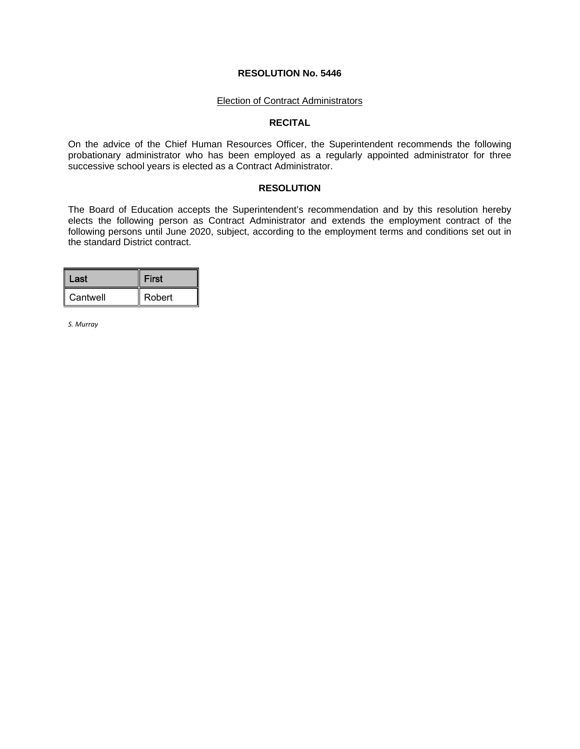#### Election of Contract Administrators

#### **RECITAL**

On the advice of the Chief Human Resources Officer, the Superintendent recommends the following probationary administrator who has been employed as a regularly appointed administrator for three successive school years is elected as a Contract Administrator.

### **RESOLUTION**

The Board of Education accepts the Superintendent's recommendation and by this resolution hereby elects the following person as Contract Administrator and extends the employment contract of the following persons until June 2020, subject, according to the employment terms and conditions set out in the standard District contract.

| Last     | <b>First</b> |
|----------|--------------|
| Cantwell | Robert       |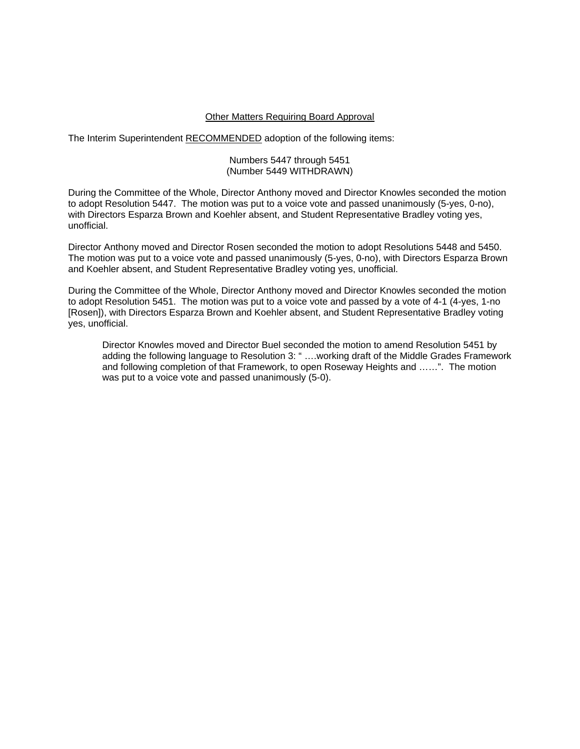### Other Matters Requiring Board Approval

The Interim Superintendent RECOMMENDED adoption of the following items:

### Numbers 5447 through 5451 (Number 5449 WITHDRAWN)

During the Committee of the Whole, Director Anthony moved and Director Knowles seconded the motion to adopt Resolution 5447. The motion was put to a voice vote and passed unanimously (5-yes, 0-no), with Directors Esparza Brown and Koehler absent, and Student Representative Bradley voting yes, unofficial.

Director Anthony moved and Director Rosen seconded the motion to adopt Resolutions 5448 and 5450. The motion was put to a voice vote and passed unanimously (5-yes, 0-no), with Directors Esparza Brown and Koehler absent, and Student Representative Bradley voting yes, unofficial.

During the Committee of the Whole, Director Anthony moved and Director Knowles seconded the motion to adopt Resolution 5451. The motion was put to a voice vote and passed by a vote of 4-1 (4-yes, 1-no [Rosen]), with Directors Esparza Brown and Koehler absent, and Student Representative Bradley voting yes, unofficial.

 Director Knowles moved and Director Buel seconded the motion to amend Resolution 5451 by adding the following language to Resolution 3: " ….working draft of the Middle Grades Framework and following completion of that Framework, to open Roseway Heights and ……". The motion was put to a voice vote and passed unanimously (5-0).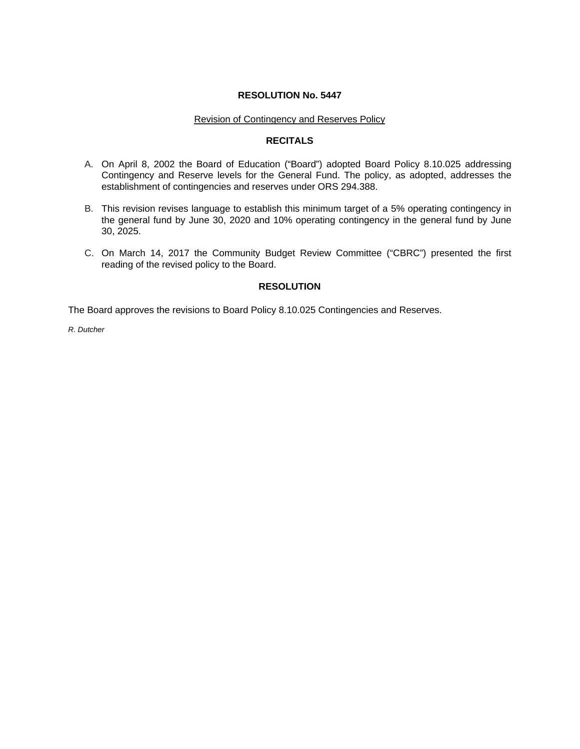### Revision of Contingency and Reserves Policy

# **RECITALS**

- A. On April 8, 2002 the Board of Education ("Board") adopted Board Policy 8.10.025 addressing Contingency and Reserve levels for the General Fund. The policy, as adopted, addresses the establishment of contingencies and reserves under ORS 294.388.
- B. This revision revises language to establish this minimum target of a 5% operating contingency in the general fund by June 30, 2020 and 10% operating contingency in the general fund by June 30, 2025.
- C. On March 14, 2017 the Community Budget Review Committee ("CBRC") presented the first reading of the revised policy to the Board.

# **RESOLUTION**

The Board approves the revisions to Board Policy 8.10.025 Contingencies and Reserves.

*R. Dutcher*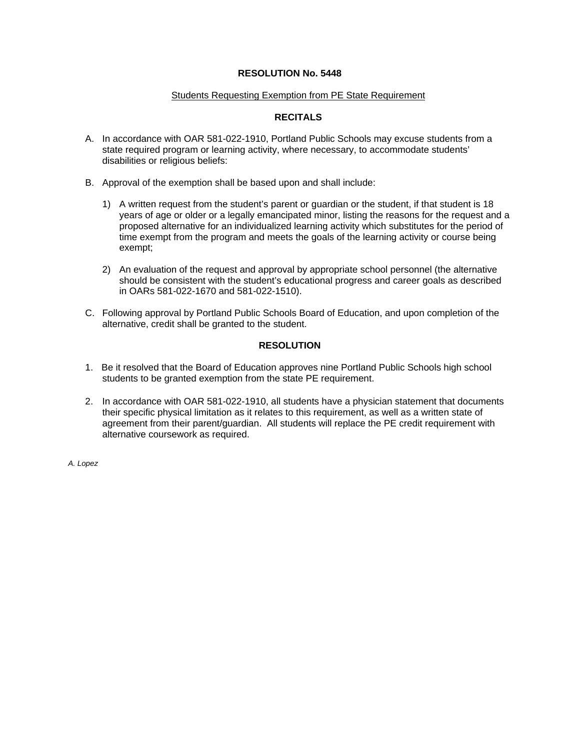### Students Requesting Exemption from PE State Requirement

## **RECITALS**

- A. In accordance with OAR 581-022-1910, Portland Public Schools may excuse students from a state required program or learning activity, where necessary, to accommodate students' disabilities or religious beliefs:
- B. Approval of the exemption shall be based upon and shall include:
	- 1) A written request from the student's parent or guardian or the student, if that student is 18 years of age or older or a legally emancipated minor, listing the reasons for the request and a proposed alternative for an individualized learning activity which substitutes for the period of time exempt from the program and meets the goals of the learning activity or course being exempt;
	- 2) An evaluation of the request and approval by appropriate school personnel (the alternative should be consistent with the student's educational progress and career goals as described in OARs 581-022-1670 and 581-022-1510).
- C. Following approval by Portland Public Schools Board of Education, and upon completion of the alternative, credit shall be granted to the student.

## **RESOLUTION**

- 1. Be it resolved that the Board of Education approves nine Portland Public Schools high school students to be granted exemption from the state PE requirement.
- 2. In accordance with OAR 581-022-1910, all students have a physician statement that documents their specific physical limitation as it relates to this requirement, as well as a written state of agreement from their parent/guardian. All students will replace the PE credit requirement with alternative coursework as required.

*A. Lopez*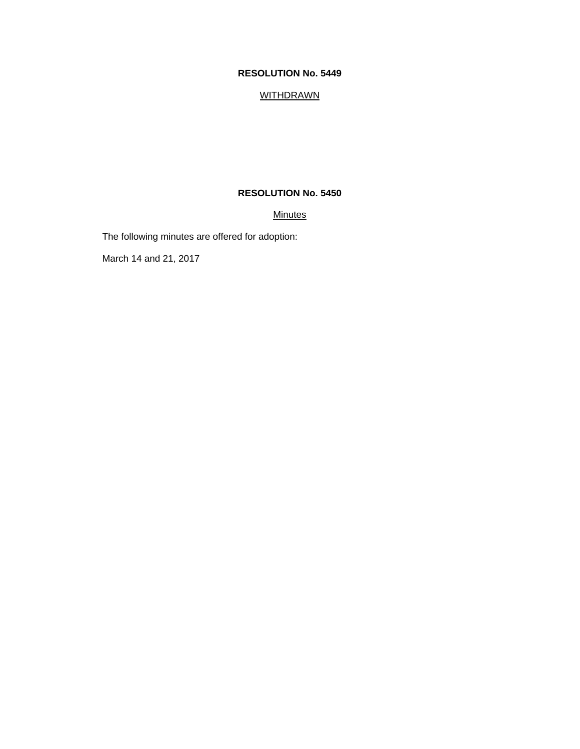## **WITHDRAWN**

# **RESOLUTION No. 5450**

## **Minutes**

The following minutes are offered for adoption:

March 14 and 21, 2017